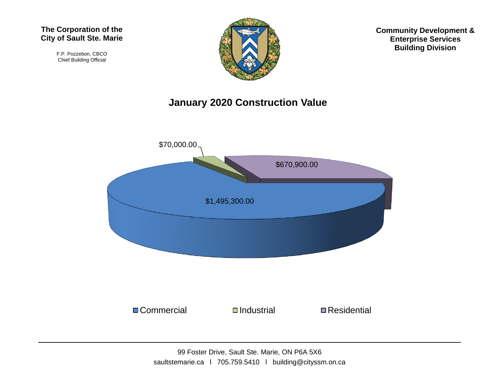F.P. Pozzebon, CBCO Chief Building Official



**Community Development & Enterprise Services Building Division**

## **January 2020 Construction Value**

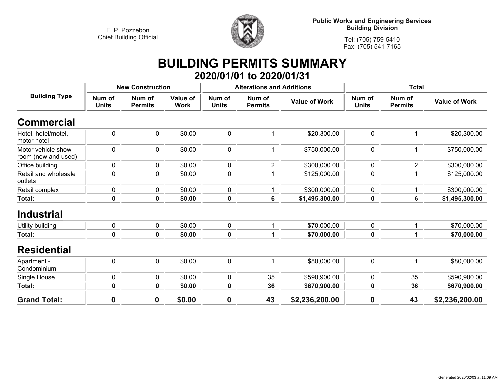

**Tel: (705) 759-5410 Fax: (705) 541-7165**

## **BUILDING PERMITS SUMMARY 2020/01/01 to 2020/01/31**

| <b>Building Type</b>                      | <b>New Construction</b> |                          |                         |                        | <b>Alterations and Additions</b> |                      | <b>Total</b>           |                          |                      |
|-------------------------------------------|-------------------------|--------------------------|-------------------------|------------------------|----------------------------------|----------------------|------------------------|--------------------------|----------------------|
|                                           | Num of<br><b>Units</b>  | Num of<br><b>Permits</b> | Value of<br><b>Work</b> | Num of<br><b>Units</b> | Num of<br><b>Permits</b>         | <b>Value of Work</b> | Num of<br><b>Units</b> | Num of<br><b>Permits</b> | <b>Value of Work</b> |
| <b>Commercial</b>                         |                         |                          |                         |                        |                                  |                      |                        |                          |                      |
| Hotel, hotel/motel,<br>motor hotel        | $\mathbf 0$             | 0                        | \$0.00                  | $\mathbf 0$            | 1                                | \$20,300.00          | $\mathbf 0$            | 1                        | \$20,300.00          |
| Motor vehicle show<br>room (new and used) | $\mathbf 0$             | 0                        | \$0.00                  | $\mathbf 0$            | 1                                | \$750,000.00         | $\mathbf 0$            | 1                        | \$750,000.00         |
| Office building                           | $\mathbf 0$             | 0                        | \$0.00                  | 0                      | $\overline{2}$                   | \$300,000.00         | $\mathbf 0$            | $\overline{2}$           | \$300,000.00         |
| Retail and wholesale<br>outlets           | $\mathbf 0$             | 0                        | \$0.00                  | $\mathbf 0$            | 1                                | \$125,000.00         | $\boldsymbol{0}$       | 1                        | \$125,000.00         |
| Retail complex                            | $\pmb{0}$               | 0                        | \$0.00                  | $\mathbf 0$            | 1                                | \$300,000.00         | $\mathbf 0$            |                          | \$300,000.00         |
| Total:                                    | $\mathbf 0$             | $\mathbf 0$              | \$0.00                  | 0                      | $\bf 6$                          | \$1,495,300.00       | $\bf{0}$               | $6\phantom{1}$           | \$1,495,300.00       |
| <b>Industrial</b>                         |                         |                          |                         |                        |                                  |                      |                        |                          |                      |
| Utility building                          | $\pmb{0}$               | 0                        | \$0.00                  | $\mathbf 0$            | 1                                | \$70,000.00          | $\pmb{0}$              |                          | \$70,000.00          |
| Total:                                    | $\bf{0}$                | $\mathbf{0}$             | \$0.00                  | $\mathbf 0$            | 1                                | \$70,000.00          | 0                      | 1                        | \$70,000.00          |
| <b>Residential</b>                        |                         |                          |                         |                        |                                  |                      |                        |                          |                      |
| Apartment -<br>Condominium                | $\pmb{0}$               | 0                        | \$0.00                  | $\mathbf 0$            | 1                                | \$80,000.00          | $\mathbf 0$            | 1                        | \$80,000.00          |
| Single House                              | $\pmb{0}$               | 0                        | \$0.00                  | $\mathbf 0$            | 35                               | \$590,900.00         | $\pmb{0}$              | 35                       | \$590,900.00         |
| Total:                                    | $\mathbf 0$             | 0                        | \$0.00                  | 0                      | 36                               | \$670,900.00         | $\bf{0}$               | 36                       | \$670,900.00         |
| <b>Grand Total:</b>                       | 0                       | 0                        | \$0.00                  | $\boldsymbol{0}$       | 43                               | \$2,236,200.00       | $\boldsymbol{0}$       | 43                       | \$2,236,200.00       |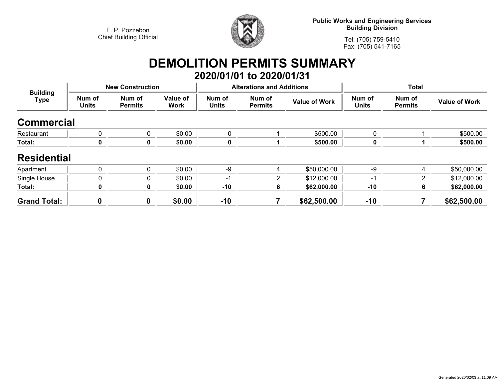

**Public Works and Engineering Services Building Division**

**Tel: (705) 759-5410Fax: (705) 541-7165**

## **DEMOLITION PERMITS SUMMARY 2020/01/01 to 2020/01/31**

| <b>Building</b><br><b>Type</b> | <b>New Construction</b> |                          |                         |                        | <b>Alterations and Additions</b> |                      | <b>Total</b>           |                          |                      |
|--------------------------------|-------------------------|--------------------------|-------------------------|------------------------|----------------------------------|----------------------|------------------------|--------------------------|----------------------|
|                                | Num of<br><b>Units</b>  | Num of<br><b>Permits</b> | Value of<br><b>Work</b> | Num of<br><b>Units</b> | Num of<br><b>Permits</b>         | <b>Value of Work</b> | Num of<br><b>Units</b> | Num of<br><b>Permits</b> | <b>Value of Work</b> |
| <b>Commercial</b>              |                         |                          |                         |                        |                                  |                      |                        |                          |                      |
| Restaurant                     | 0                       | 0                        | \$0.00                  | $\mathbf{0}$           |                                  | \$500.00             | 0                      |                          | \$500.00             |
| Total:                         | 0                       | 0                        | \$0.00                  |                        |                                  | \$500.00             | 0                      |                          | \$500.00             |
| <b>Residential</b>             |                         |                          |                         |                        |                                  |                      |                        |                          |                      |
| Apartment                      | 0                       | 0                        | \$0.00                  | -9                     | 4                                | \$50,000.00          | -9                     | 4                        | \$50,000.00          |
| Single House                   | 0                       | 0                        | \$0.00                  | -1                     | 2                                | \$12,000.00          | -1                     | 2                        | \$12,000.00          |
| Total:                         | 0                       | 0                        | \$0.00                  | $-10$                  | 6                                | \$62,000.00          | $-10$                  | 6                        | \$62,000.00          |
| <b>Grand Total:</b>            | 0                       | 0                        | \$0.00                  | $-10$                  |                                  | \$62,500.00          | $-10$                  |                          | \$62,500.00          |